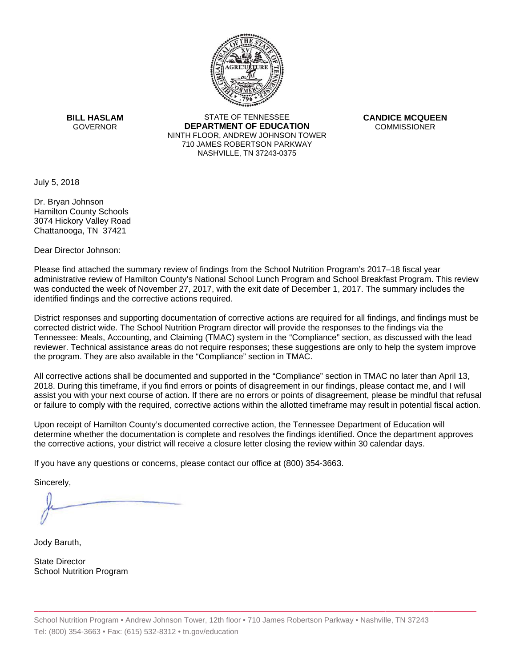

**BILL HASLAM** GOVERNOR **DEI** 

STATE OF TENNESSEE **EPARTMENT OF EDUCATION** NINTH FLOOR, ANDREW JOHNSON TOWER 710 JAMES ROBERTSON PARKWAY NASHVILLE,TN 37243-0375

**CANDICE MCQUEEN** CO OMMISSIONER

July 5, 2018

Dr. Bryan Johnson Hamilton County Schools 3074 Hickory Valley Road Chattanooga, TN 37421

Dear Director Johnson:

Please find attached the summary review of findings from the School Nutrition Program's 2017–18 fiscal year administrative review of Hamilton County's National School Lunch Program and School Breakfast Program.This review was conducted the week of November 27, 2017, with the exit date of December 1, 2017. The summary includes the identified findings and the corrective actions required.

Tennessee: Meals, Accounting, and Claiming (TMAC) system in the "Compliance" section, as discussed with the lead District responses and supporting documentation of corrective actions are required for all findings, and findings must be corrected district wide. The School Nutrition Program director will provide the responses to the findings via the reviewer. Technical assistance areas do not require responses; these suggestions are only to help the system improve the program. They are also available in the "Compliance" section in TMAC.

All corrective actions shall be documented and supported in the "Compliance" section in TMAC no later than April 13, 2018. During this timeframe, if you find errors or points of disagreement in our findings, please contact me, and I will assist you with your next course of action. If there are no errors or points of disagreement, please be mindful that refusal or failure to comply with the required, corrective actions within the allotted timeframe may result in potential fiscal action.

Upon receipt of Hamilton County's documented corrective action, the Tennessee Department of Education will determine whether the documentation is complete and resolves the findings identified. Once the department approves the corrective actions, your district will receive a closure letter closing the review within 30 calendar days.

If you have any questions or concerns, please contact our office at (800) 354-3663.

Sincerely,

Jody Baruth,

State Director School Nutrition Program